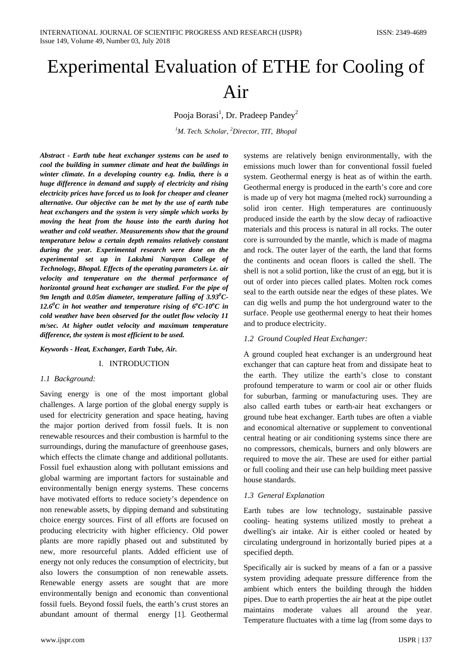# Experimental Evaluation of ETHE for Cooling of Air

Pooja Borasi<sup>1</sup>, Dr. Pradeep Pandey<sup>2</sup>

*1 M. Tech. Scholar, <sup>2</sup> Director, TIT, Bhopal*

*Abstract - Earth tube heat exchanger systems can be used to cool the building in summer climate and heat the buildings in winter climate. In a developing country e.g. India, there is a huge difference in demand and supply of electricity and rising electricity prices have forced us to look for cheaper and cleaner alternative. Our objective can be met by the use of earth tube heat exchangers and the system is very simple which works by moving the heat from the house into the earth during hot weather and cold weather. Measurements show that the ground temperature below a certain depth remains relatively constant during the year. Experimental research were done on the experimental set up in Lakshmi Narayan College of Technology, Bhopal. Effects of the operating parameters i.e. air velocity and temperature on the thermal performance of horizontal ground heat exchanger are studied. For the pipe of 9m length and 0.05m diameter, temperature falling of 3.930 C-*12.6<sup>0</sup>C in hot weather and temperature rising of  $6^{\circ}$ C-10<sup>o</sup>C in *cold weather have been observed for the outlet flow velocity 11 m/sec. At higher outlet velocity and maximum temperature difference, the system is most efficient to be used.*

### *Keywords - Heat, Exchanger, Earth Tube, Air.*

# I. INTRODUCTION

# *1.1 Background:*

Saving energy is one of the most important global challenges. A large portion of the global energy supply is used for electricity generation and space heating, having the major portion derived from fossil fuels. It is non renewable resources and their combustion is harmful to the surroundings, during the manufacture of greenhouse gases, which effects the climate change and additional pollutants. Fossil fuel exhaustion along with pollutant emissions and global warming are important factors for sustainable and environmentally benign energy systems. These concerns have motivated efforts to reduce society's dependence on non renewable assets, by dipping demand and substituting choice energy sources. First of all efforts are focused on producing electricity with higher efficiency. Old power plants are more rapidly phased out and substituted by new, more resourceful plants. Added efficient use of energy not only reduces the consumption of electricity, but also lowers the consumption of non renewable assets. Renewable energy assets are sought that are more environmentally benign and economic than conventional fossil fuels. Beyond fossil fuels, the earth's crust stores an abundant amount of thermal energy [1]. Geothermal

systems are relatively benign environmentally, with the emissions much lower than for conventional fossil fueled system. Geothermal energy is heat as of within the earth. Geothermal energy is produced in the earth's core and core is made up of very hot magma (melted rock) surrounding a solid iron center. High temperatures are continuously produced inside the earth by the slow decay of radioactive materials and this process is natural in all rocks. The outer core is surrounded by the mantle, which is made of magma and rock. The outer layer of the earth, the land that forms the continents and ocean floors is called the shell. The shell is not a solid portion, like the crust of an egg, but it is out of order into pieces called plates. Molten rock comes seal to the earth outside near the edges of these plates. We can dig wells and pump the hot underground water to the surface. People use geothermal energy to heat their homes and to produce electricity.

### *1.2 Ground Coupled Heat Exchanger:*

A ground coupled heat exchanger is an underground heat exchanger that can capture heat from and dissipate heat to the earth. They utilize the earth's close to constant profound temperature to warm or cool air or other fluids for suburban, farming or manufacturing uses. They are also called earth tubes or earth-air heat exchangers or ground tube heat exchanger. Earth tubes are often a viable and economical alternative or supplement to conventional central heating or air conditioning systems since there are no compressors, chemicals, burners and only blowers are required to move the air. These are used for either partial or full cooling and their use can help building meet passive house standards.

### *1.3 General Explanation*

Earth tubes are low technology, sustainable passive cooling- heating systems utilized mostly to preheat a dwelling's air intake. Air is either cooled or heated by circulating underground in horizontally buried pipes at a specified depth.

Specifically air is sucked by means of a fan or a passive system providing adequate pressure difference from the ambient which enters the building through the hidden pipes. Due to earth properties the air heat at the pipe outlet maintains moderate values all around the year. Temperature fluctuates with a time lag (from some days to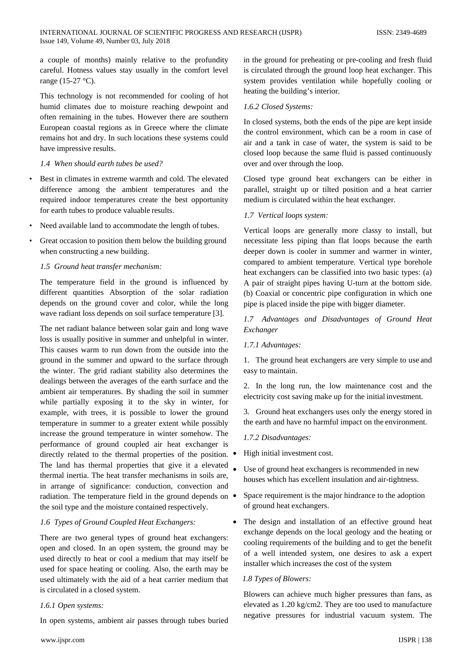a couple of months) mainly relative to the profundity careful. Hotness values stay usually in the comfort level range (15-27 °C).

This technology is not recommended for cooling of hot humid climates due to moisture reaching dewpoint and often remaining in the tubes. However there are southern European coastal regions as in Greece where the climate remains hot and dry. In such locations these systems could have impressive results.

# *1.4 When should earth tubes be used?*

- Best in climates in extreme warmth and cold. The elevated difference among the ambient temperatures and the required indoor temperatures create the best opportunity for earth tubes to produce valuable results.
- Need available land to accommodate the length of tubes.
- Great occasion to position them below the building ground when constructing a new building.

# *1.5 Ground heat transfer mechanism:*

The temperature field in the ground is influenced by different quantities Absorption of the solar radiation depends on the ground cover and color, while the long wave radiant loss depends on soil surface temperature [3].

The net radiant balance between solar gain and long wave loss is usually positive in summer and unhelpful in winter. This causes warm to run down from the outside into the ground in the summer and upward to the surface through the winter. The grid radiant stability also determines the dealings between the averages of the earth surface and the ambient air temperatures. By shading the soil in summer while partially exposing it to the sky in winter, for example, with trees, it is possible to lower the ground temperature in summer to a greater extent while possibly increase the ground temperature in winter somehow. The performance of ground coupled air heat exchanger is directly related to the thermal properties of the position.  $\bullet$ The land has thermal properties that give it a elevated thermal inertia. The heat transfer mechanisms in soils are, in arrange of significance: conduction, convection and radiation. The temperature field in the ground depends on  $\bullet$ the soil type and the moisture contained respectively.

### *1.6 Types of Ground Coupled Heat Exchangers:*

There are two general types of ground heat exchangers: open and closed. In an open system, the ground may be used directly to heat or cool a medium that may itself be used for space heating or cooling. Also, the earth may be used ultimately with the aid of a heat carrier medium that is circulated in a closed system.

# *1.6.1 Open systems:*

In open systems, ambient air passes through tubes buried

# *1.6.2 Closed Systems:*

In closed systems, both the ends of the pipe are kept inside the control environment, which can be a room in case of air and a tank in case of water, the system is said to be closed loop because the same fluid is passed continuously over and over through the loop.

Closed type ground heat exchangers can be either in parallel, straight up or tilted position and a heat carrier medium is circulated within the heat exchanger.

### *1.7 Vertical loops system:*

Vertical loops are generally more classy to install, but necessitate less piping than flat loops because the earth deeper down is cooler in summer and warmer in winter, compared to ambient temperature. Vertical type borehole heat exchangers can be classified into two basic types: (a) A pair of straight pipes having U-turn at the bottom side. (b) Coaxial or concentric pipe configuration in which one pipe is placed inside the pipe with bigger diameter.

*1.7 Advantages and Disadvantages of Ground Heat Exchanger*

### *1.7.1 Advantages:*

1. The ground heat exchangers are very simple to use and easy to maintain.

2. In the long run, the low maintenance cost and the electricity cost saving make up for the initial investment.

3. Ground heat exchangers uses only the energy stored in the earth and have no harmful impact on the environment.

# *1.7.2 Disadvantages:*

• High initial investment cost.

- Use of ground heat exchangers is recommended in new houses which has excellent insulation and air-tightness.
- Space requirement is the major hindrance to the adoption of ground heat exchangers.
- The design and installation of an effective ground heat exchange depends on the local geology and the heating or cooling requirements of the building and to get the benefit of a well intended system, one desires to ask a expert installer which increases the cost of the system

### *1.8 Types of Blowers:*

Blowers can achieve much higher pressures than fans, as elevated as 1.20 kg/cm2. They are too used to manufacture negative pressures for industrial vacuum system. The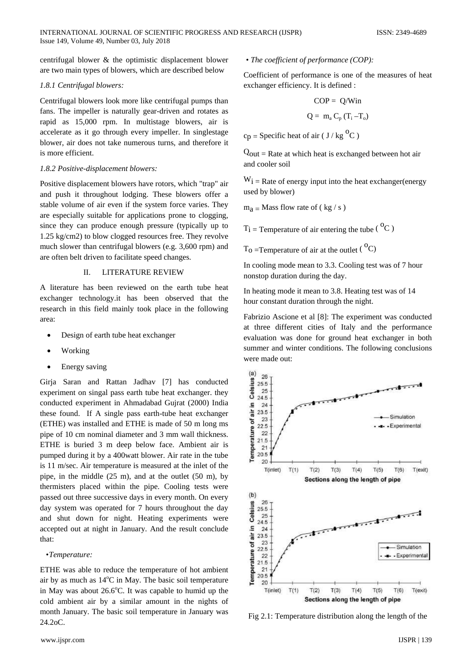centrifugal blower & the optimistic displacement blower are two main types of blowers, which are described below

# *1.8.1 Centrifugal blowers:*

Centrifugal blowers look more like centrifugal pumps than fans. The impeller is naturally gear-driven and rotates as rapid as 15,000 rpm. In multistage blowers, air is accelerate as it go through every impeller. In singlestage blower, air does not take numerous turns, and therefore it is more efficient.

# *1.8.2 Positive-displacement blowers:*

Positive displacement blowers have rotors, which "trap" air and push it throughout lodging. These blowers offer a stable volume of air even if the system force varies. They are especially suitable for applications prone to clogging, since they can produce enough pressure (typically up to 1.25 kg/cm2) to blow clogged resources free. They revolve much slower than centrifugal blowers (e.g. 3,600 rpm) and are often belt driven to facilitate speed changes.

# II. LITERATURE REVIEW

A literature has been reviewed on the earth tube heat exchanger technology.it has been observed that the research in this field mainly took place in the following area:

- Design of earth tube heat exchanger
- **Working**
- Energy saving

Girja Saran and Rattan Jadhav [7] has conducted experiment on singal pass earth tube heat exchanger. they conducted experiment in Ahmadabad Gujrat (2000) India these found. If A single pass earth-tube heat exchanger (ETHE) was installed and ETHE is made of 50 m long ms pipe of 10 cm nominal diameter and 3 mm wall thickness. ETHE is buried 3 m deep below face. Ambient air is pumped during it by a 400watt blower. Air rate in the tube is 11 m/sec. Air temperature is measured at the inlet of the pipe, in the middle (25 m), and at the outlet (50 m), by thermisters placed within the pipe. Cooling tests were passed out three successive days in every month. On every day system was operated for 7 hours throughout the day and shut down for night. Heating experiments were accepted out at night in January. And the result conclude that:

# *•Temperature:*

ETHE was able to reduce the temperature of hot ambient air by as much as 14°C in May. The basic soil temperature in May was about 26.6°C. It was capable to humid up the cold ambient air by a similar amount in the nights of month January. The basic soil temperature in January was 24.2oC.

*• The coefficient of performance (COP):*

Coefficient of performance is one of the measures of heat exchanger efficiency. It is defined :

$$
COP = Q/Win
$$

$$
Q = m_a C_p (T_i - T_o)
$$

 $cp = Specific heat of air ( J/kg<sup>o</sup>C)$ 

 $Q_{\text{out}}$  = Rate at which heat is exchanged between hot air and cooler soil

 $W_i$  = Rate of energy input into the heat exchanger(energy used by blower)

 $m_a$  = Mass flow rate of ( kg / s )

 $T_i$  = Temperature of air entering the tube ( ${}^{0}C$ )

 $T_0$  = Temperature of air at the outlet ( ${}^{0}C$ )

In cooling mode mean to 3.3. Cooling test was of 7 hour nonstop duration during the day.

In heating mode it mean to 3.8. Heating test was of 14 hour constant duration through the night.

Fabrizio Ascione et al [8]: The experiment was conducted at three different cities of Italy and the performance evaluation was done for ground heat exchanger in both summer and winter conditions. The following conclusions were made out:



Fig 2.1: Temperature distribution along the length of the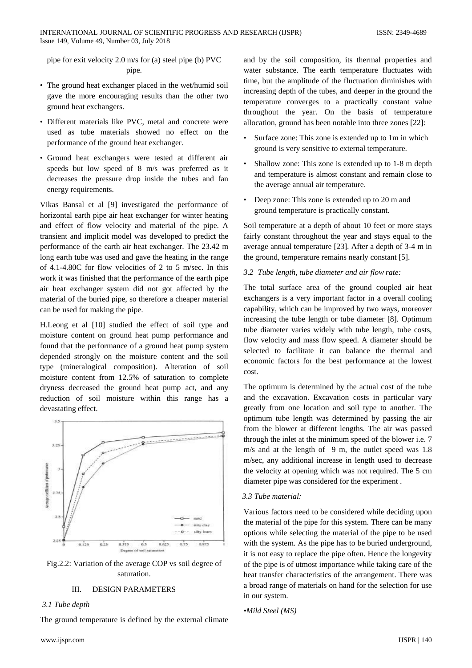pipe for exit velocity 2.0 m/s for (a) steel pipe (b) PVC pipe.

- The ground heat exchanger placed in the wet/humid soil gave the more encouraging results than the other two ground heat exchangers.
- Different materials like PVC, metal and concrete were used as tube materials showed no effect on the performance of the ground heat exchanger.
- Ground heat exchangers were tested at different air speeds but low speed of 8 m/s was preferred as it decreases the pressure drop inside the tubes and fan energy requirements.

Vikas Bansal et al [9] investigated the performance of horizontal earth pipe air heat exchanger for winter heating and effect of flow velocity and material of the pipe. A transient and implicit model was developed to predict the performance of the earth air heat exchanger. The 23.42 m long earth tube was used and gave the heating in the range of 4.1-4.80C for flow velocities of 2 to 5 m/sec. In this work it was finished that the performance of the earth pipe air heat exchanger system did not got affected by the material of the buried pipe, so therefore a cheaper material can be used for making the pipe.

H.Leong et al [10] studied the effect of soil type and moisture content on ground heat pump performance and found that the performance of a ground heat pump system depended strongly on the moisture content and the soil type (mineralogical composition). Alteration of soil moisture content from 12.5% of saturation to complete dryness decreased the ground heat pump act, and any reduction of soil moisture within this range has a devastating effect.



Fig.2.2: Variation of the average COP vs soil degree of saturation.

# III. DESIGN PARAMETERS

### *3.1 Tube depth*

The ground temperature is defined by the external climate

and by the soil composition, its thermal properties and water substance. The earth temperature fluctuates with time, but the amplitude of the fluctuation diminishes with increasing depth of the tubes, and deeper in the ground the temperature converges to a practically constant value throughout the year. On the basis of temperature allocation, ground has been notable into three zones [22]:

- Surface zone: This zone is extended up to 1m in which ground is very sensitive to external temperature.
- Shallow zone: This zone is extended up to 1-8 m depth and temperature is almost constant and remain close to the average annual air temperature.
- Deep zone: This zone is extended up to 20 m and ground temperature is practically constant.

Soil temperature at a depth of about 10 feet or more stays fairly constant throughout the year and stays equal to the average annual temperature [23]. After a depth of 3-4 m in the ground, temperature remains nearly constant [5].

# *3.2 Tube length, tube diameter and air flow rate:*

The total surface area of the ground coupled air heat exchangers is a very important factor in a overall cooling capability, which can be improved by two ways, moreover increasing the tube length or tube diameter [8]. Optimum tube diameter varies widely with tube length, tube costs, flow velocity and mass flow speed. A diameter should be selected to facilitate it can balance the thermal and economic factors for the best performance at the lowest cost.

The optimum is determined by the actual cost of the tube and the excavation. Excavation costs in particular vary greatly from one location and soil type to another. The optimum tube length was determined by passing the air from the blower at different lengths. The air was passed through the inlet at the minimum speed of the blower i.e. 7 m/s and at the length of 9 m, the outlet speed was 1.8 m/sec, any additional increase in length used to decrease the velocity at opening which was not required. The 5 cm diameter pipe was considered for the experiment .

# *3.3 Tube material:*

Various factors need to be considered while deciding upon the material of the pipe for this system. There can be many options while selecting the material of the pipe to be used with the system. As the pipe has to be buried underground, it is not easy to replace the pipe often. Hence the longevity of the pipe is of utmost importance while taking care of the heat transfer characteristics of the arrangement. There was a broad range of materials on hand for the selection for use in our system.

```
•Mild Steel (MS)
```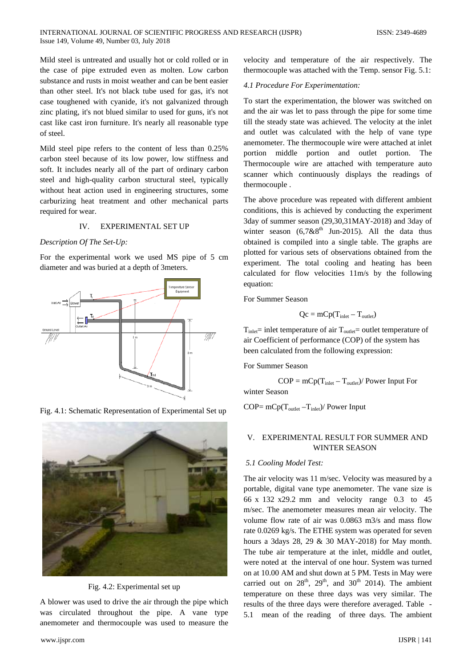Mild steel is untreated and usually hot or cold rolled or in the case of pipe extruded even as molten. Low carbon substance and rusts in moist weather and can be bent easier than other steel. It's not black tube used for gas, it's not case toughened with cyanide, it's not galvanized through zinc plating, it's not blued similar to used for guns, it's not cast like cast iron furniture. It's nearly all reasonable type of steel.

Mild steel pipe refers to the content of less than 0.25% carbon steel because of its low power, low stiffness and soft. It includes nearly all of the part of ordinary carbon steel and high-quality carbon structural steel, typically without heat action used in engineering structures, some carburizing heat treatment and other mechanical parts required for wear.

#### IV. EXPERIMENTAL SET UP

#### *Description Of The Set-Up:*

For the experimental work we used MS pipe of 5 cm diameter and was buried at a depth of 3meters.



Fig. 4.1: Schematic Representation of Experimental Set up



Fig. 4.2: Experimental set up

A blower was used to drive the air through the pipe which was circulated throughout the pipe. A vane type anemometer and thermocouple was used to measure the velocity and temperature of the air respectively. The thermocouple was attached with the Temp. sensor Fig. 5.1:

#### *4.1 Procedure For Experimentation:*

To start the experimentation, the blower was switched on and the air was let to pass through the pipe for some time till the steady state was achieved. The velocity at the inlet and outlet was calculated with the help of vane type anemometer. The thermocouple wire were attached at inlet portion middle portion and outlet portion. The Thermocouple wire are attached with temperature auto scanner which continuously displays the readings of thermocouple .

The above procedure was repeated with different ambient conditions, this is achieved by conducting the experiment 3day of summer season (29,30,31MAY-2018) and 3day of winter season  $(6,7 \& 8^{th}$  Jun-2015). All the data thus obtained is compiled into a single table. The graphs are plotted for various sets of observations obtained from the experiment. The total cooling and heating has been calculated for flow velocities 11m/s by the following equation:

For Summer Season

$$
Qc = mCp(T_{\text{inlet}} - T_{\text{outlet}})
$$

 $T_{\text{inlet}}$  = inlet temperature of air  $T_{\text{outlet}}$  = outlet temperature of air Coefficient of performance (COP) of the system has been calculated from the following expression:

For Summer Season

 $COP = mCp(T_{\text{inlet}} - T_{\text{outlet}})/$  Power Input For winter Season

 $COP = mCp(T_{\text{outlet}} - T_{\text{inlet}})/$  Power Input

# V. EXPERIMENTAL RESULT FOR SUMMER AND WINTER SEASON

# *5.1 Cooling Model Test:*

The air velocity was 11 m/sec. Velocity was measured by a portable, digital vane type anemometer. The vane size is 66 x 132 x29.2 mm and velocity range 0.3 to 45 m/sec. The anemometer measures mean air velocity. The volume flow rate of air was 0.0863 m3/s and mass flow rate 0.0269 kg/s. The ETHE system was operated for seven hours a 3days 28, 29 & 30 MAY-2018) for May month. The tube air temperature at the inlet, middle and outlet, were noted at the interval of one hour. System was turned on at 10.00 AM and shut down at 5 PM. Tests in May were carried out on  $28<sup>th</sup>$ ,  $29<sup>th</sup>$ , and  $30<sup>th</sup>$  2014). The ambient temperature on these three days was very similar. The results of the three days were therefore averaged. Table - 5.1 mean of the reading of three days. The ambient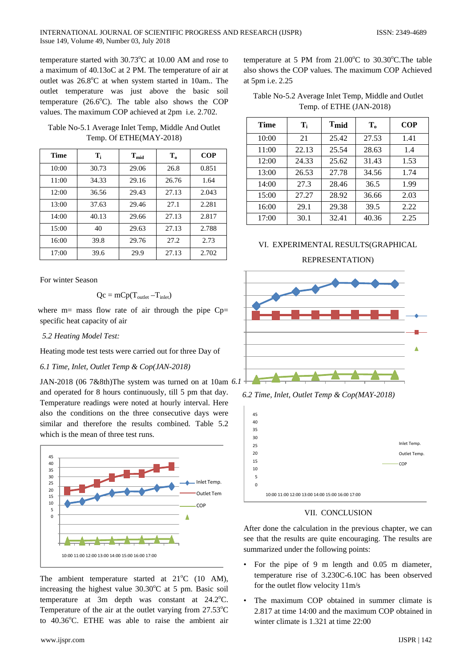temperature started with  $30.73^{\circ}$ C at 10.00 AM and rose to a maximum of 40.13oC at 2 PM. The temperature of air at outlet was 26.8°C at when system started in 10am.. The outlet temperature was just above the basic soil temperature  $(26.6^{\circ}C)$ . The table also shows the COP values. The maximum COP achieved at 2pm i.e. 2.702.

Table No-5.1 Average Inlet Temp, Middle And Outlet Temp. Of ETHE(MAY-2018)

| Time  | T <sub>i</sub> | $T_{mid}$ | $\mathbf{T_{0}}$ | <b>COP</b> |
|-------|----------------|-----------|------------------|------------|
| 10:00 | 30.73          | 29.06     | 26.8             | 0.851      |
| 11:00 | 34.33          | 29.16     | 26.76            | 1.64       |
| 12:00 | 36.56          | 29.43     | 27.13            | 2.043      |
| 13:00 | 37.63          | 29.46     | 27.1             | 2.281      |
| 14:00 | 40.13          | 29.66     | 27.13            | 2.817      |
| 15:00 | 40             | 29.63     | 27.13            | 2.788      |
| 16:00 | 39.8           | 29.76     | 27.2             | 2.73       |
| 17:00 | 39.6           | 29.9      | 27.13            | 2.702      |

For winter Season

$$
Qc = mCp(T_{\text{outlet}}-T_{\text{inlet}})
$$

where  $m=$  mass flow rate of air through the pipe  $Cp=$ specific heat capacity of air

*5.2 Heating Model Test:*

Heating mode test tests were carried out for three Day of

*6.1 Time, Inlet, Outlet Temp & Cop(JAN-2018)*

JAN-2018 (06 7&8th)The system was turned on at 10am *6.1* and operated for 8 hours continuously, till 5 pm that day. Temperature readings were noted at hourly interval. Here also the conditions on the three consecutive days were similar and therefore the results combined. Table 5.2 which is the mean of three test runs.



The ambient temperature started at  $21^{\circ}$ C (10 AM), increasing the highest value  $30.30^{\circ}$ C at 5 pm. Basic soil temperature at  $3m$  depth was constant at  $24.2^{\circ}$ C. Temperature of the air at the outlet varying from  $27.53^{\circ}$ C to 40.36°C. ETHE was able to raise the ambient air

temperature at 5 PM from  $21.00^{\circ}$ C to  $30.30^{\circ}$ C. The table also shows the COP values. The maximum COP Achieved at 5pm i.e. 2.25

| Table No-5.2 Average Inlet Temp, Middle and Outlet |
|----------------------------------------------------|
| Temp. of ETHE (JAN-2018)                           |

| Time  | $\mathbf{T}_i$ | T <sub>mid</sub> | $T_{0}$ | <b>COP</b> |
|-------|----------------|------------------|---------|------------|
| 10:00 | 21             | 25.42            | 27.53   | 1.41       |
| 11:00 | 22.13          | 25.54            | 28.63   | 1.4        |
| 12:00 | 24.33          | 25.62            | 31.43   | 1.53       |
| 13:00 | 26.53          | 27.78            | 34.56   | 1.74       |
| 14:00 | 27.3           | 28.46            | 36.5    | 1.99       |
| 15:00 | 27.27          | 28.92            | 36.66   | 2.03       |
| 16:00 | 29.1           | 29.38            | 39.5    | 2.22       |
| 17:00 | 30.1           | 32.41            | 40.36   | 2.25       |

# VI. EXPERIMENTAL RESULTS(GRAPHICAL REPRESENTATION)



*6.2 Time, Inlet, Outlet Temp & Cop(MAY-2018)*



VII. CONCLUSION

After done the calculation in the previous chapter, we can see that the results are quite encouraging. The results are summarized under the following points:

- For the pipe of 9 m length and 0.05 m diameter, temperature rise of 3.230C-6.10C has been observed for the outlet flow velocity 11m/s
- The maximum COP obtained in summer climate is 2.817 at time 14:00 and the maximum COP obtained in winter climate is 1.321 at time 22:00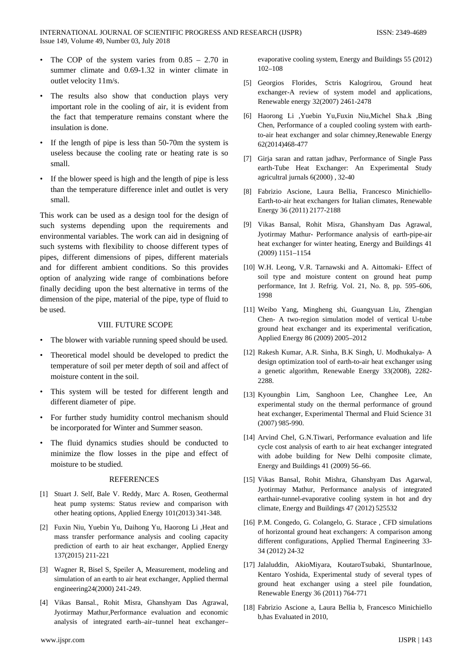- The COP of the system varies from  $0.85 2.70$  in summer climate and 0.69-1.32 in winter climate in outlet velocity 11m/s.
- The results also show that conduction plays very important role in the cooling of air, it is evident from the fact that temperature remains constant where the insulation is done.
- If the length of pipe is less than 50-70m the system is useless because the cooling rate or heating rate is so small.
- If the blower speed is high and the length of pipe is less than the temperature difference inlet and outlet is very small.

This work can be used as a design tool for the design of such systems depending upon the requirements and environmental variables. The work can aid in designing of such systems with flexibility to choose different types of pipes, different dimensions of pipes, different materials and for different ambient conditions. So this provides option of analyzing wide range of combinations before finally deciding upon the best alternative in terms of the dimension of the pipe, material of the pipe, type of fluid to be used.

# VIII. FUTURE SCOPE

- The blower with variable running speed should be used.
- Theoretical model should be developed to predict the temperature of soil per meter depth of soil and affect of moisture content in the soil.
- This system will be tested for different length and different diameter of pipe.
- For further study humidity control mechanism should be incorporated for Winter and Summer season.
- The fluid dynamics studies should be conducted to minimize the flow losses in the pipe and effect of moisture to be studied.

#### **REFERENCES**

- [1] Stuart J. Self, Bale V. Reddy, Marc A. Rosen, Geothermal heat pump systems: Status review and comparison with other heating options, Applied Energy 101(2013) 341-348.
- [2] Fuxin Niu, Yuebin Yu, Daihong Yu, Haorong Li ,Heat and mass transfer performance analysis and cooling capacity prediction of earth to air heat exchanger, Applied Energy 137(2015) 211-221
- [3] Wagner R, Bisel S, Speiler A, Measurement, modeling and simulation of an earth to air heat exchanger, Applied thermal engineering24(2000) 241-249.
- [4] Vikas Bansal., Rohit Misra, Ghanshyam Das Agrawal, Jyotirmay Mathur,Performance evaluation and economic analysis of integrated earth–air–tunnel heat exchanger–

evaporative cooling system, Energy and Buildings 55 (2012) 102–108

- [5] Georgios Florides, Sctris Kalogrirou, Ground heat exchanger-A review of system model and applications, Renewable energy 32(2007) 2461-2478
- [6] Haorong Li ,Yuebin Yu,Fuxin Niu,Michel Sha.k ,Bing Chen, Performance of a coupled cooling system with earthto-air heat exchanger and solar chimney,Renewable Energy 62(2014)468-477
- [7] Girja saran and rattan jadhav, Performance of Single Pass earth-Tube Heat Exchanger: An Experimental Study agricultral jurnals 6(2000) , 32-40
- [8] Fabrizio Ascione, Laura Bellia, Francesco Minichiello-Earth-to-air heat exchangers for Italian climates, Renewable Energy 36 (2011) 2177-2188
- [9] Vikas Bansal, Rohit Misra, Ghanshyam Das Agrawal, Jyotirmay Mathur- Performance analysis of earth-pipe-air heat exchanger for winter heating, Energy and Buildings 41 (2009) 1151–1154
- [10] W.H. Leong, V.R. Tarnawski and A. Aittomaki- Effect of soil type and moisture content on ground heat pump performance, Int J. Refrig. Vol. 21, No. 8, pp. 595–606, 1998
- [11] Weibo Yang, Mingheng shi, Guangyuan Liu, Zhengian Chen- A two-region simulation model of vertical U-tube ground heat exchanger and its experimental verification, Applied Energy 86 (2009) 2005–2012
- [12] Rakesh Kumar, A.R. Sinha, B.K Singh, U. Modhukalya- A design optimization tool of earth-to-air heat exchanger using a genetic algorithm, Renewable Energy 33(2008), 2282- 2288.
- [13] Kyoungbin Lim, Sanghoon Lee, Changhee Lee, An experimental study on the thermal performance of ground heat exchanger, Experimental Thermal and Fluid Science 31 (2007) 985-990.
- [14] Arvind Chel, G.N.Tiwari, Performance evaluation and life cycle cost analysis of earth to air heat exchanger integrated with adobe building for New Delhi composite climate, Energy and Buildings 41 (2009) 56–66.
- [15] Vikas Bansal, Rohit Mishra, Ghanshyam Das Agarwal, Jyotirmay Mathur, Performance analysis of integrated earthair-tunnel-evaporative cooling system in hot and dry climate, Energy and Buildings 47 (2012) 525532
- [16] P.M. Congedo, G. Colangelo, G. Starace, CFD simulations of horizontal ground heat exchangers: A comparison among different configurations, Applied Thermal Engineering 33- 34 (2012) 24-32
- [17] Jalaluddin, AkioMiyara, KoutaroTsubaki, ShuntarInoue, Kentaro Yoshida, Experimental study of several types of ground heat exchanger using a steel pile foundation, Renewable Energy 36 (2011) 764-771
- [18] Fabrizio Ascione a, Laura Bellia b, Francesco Minichiello b,has Evaluated in 2010,